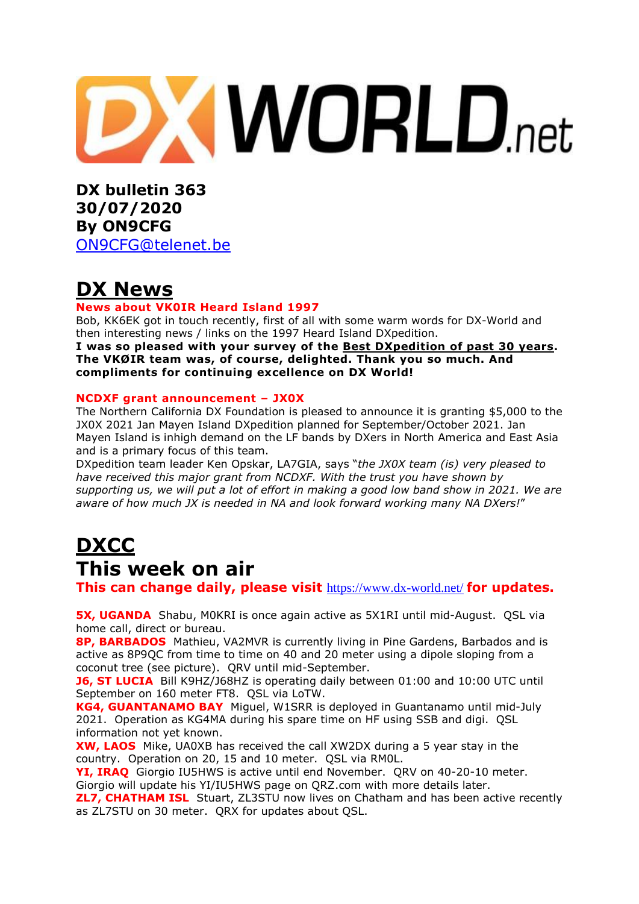# **XWORLD.net**

**DX bulletin 363 30/07/2020 By ON9CFG**  [ON9CFG@telenet.be](mailto:ON9CFG@telenet.be)

## **DX News**

#### **News about VK0IR Heard Island 1997**

Bob, KK6EK got in touch recently, first of all with some warm words for DX-World and then interesting news / links on the 1997 Heard Island DXpedition. **I was so pleased with your survey of the Best [DXpedition](https://www.dx-world.net/swodxa-dxpedition-of-dxpeditions/) of past 30 years. The VKØIR team was, of course, delighted. Thank you so much. And compliments for continuing excellence on DX World!**

#### **NCDXF grant announcement – JX0X**

The Northern California DX Foundation is pleased to announce it is granting \$5,000 to the JX0X 2021 Jan Mayen Island DXpedition planned for September/October 2021. Jan Mayen Island is inhigh demand on the LF bands by DXers in North America and East Asia and is a primary focus of this team.

DXpedition team leader Ken Opskar, LA7GIA, says "*the JX0X team (is) very pleased to have received this major grant from NCDXF. With the trust you have shown by* supporting us, we will put a lot of effort in making a good low band show in 2021. We are *aware of how much JX is needed in NA and look forward working many NA DXers!*"

# **DXCC This week on air**

**This can change daily, please visit** <https://www.dx-world.net/> **for updates.**

**5X, UGANDA** Shabu, M0KRI is once again active as 5X1RI until mid-August. QSL via home call, direct or bureau.

**8P, BARBADOS** Mathieu, VA2MVR is currently living in Pine Gardens, Barbados and is active as 8P9QC from time to time on 40 and 20 meter using a dipole sloping from a coconut tree (see picture). QRV until mid-September.

**J6, ST LUCIA** Bill K9HZ/J68HZ is operating daily between 01:00 and 10:00 UTC until September on 160 meter FT8. QSL via LoTW.

**KG4, GUANTANAMO BAY** Miguel, W1SRR is deployed in Guantanamo until mid-July 2021. Operation as KG4MA during his spare time on HF using SSB and digi. QSL information not yet known.

**XW, LAOS** Mike, UA0XB has received the call XW2DX during a 5 year stay in the country. Operation on 20, 15 and 10 meter. QSL via RM0L.

**YI, IRAQ** Giorgio IU5HWS is active until end November. QRV on 40-20-10 meter. Giorgio will update his YI/IU5HWS page on QRZ.com with more details later.

**ZL7, CHATHAM ISL** Stuart, ZL3STU now lives on Chatham and has been active recently as ZL7STU on 30 meter. QRX for updates about QSL.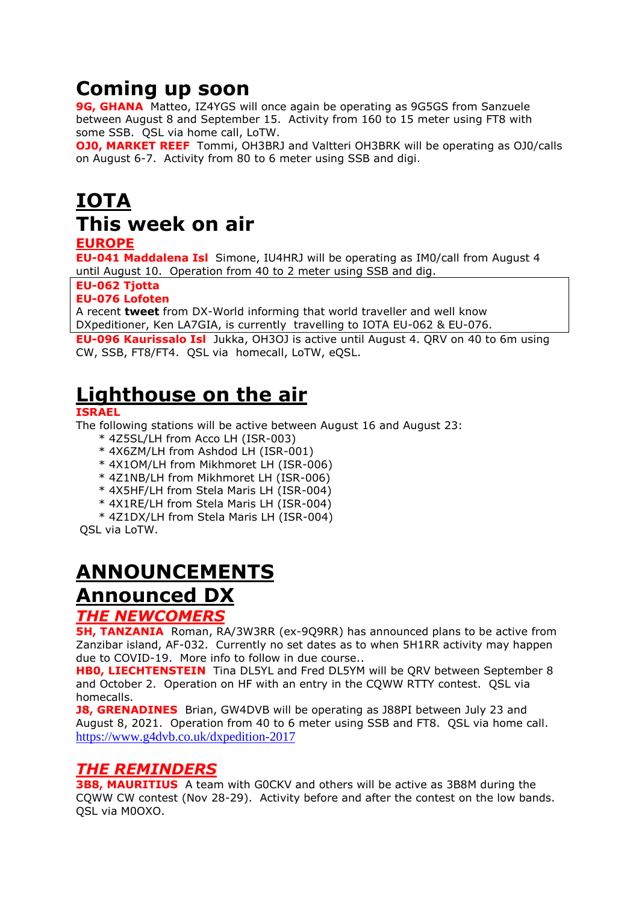# **Coming up soon**

**9G, GHANA** Matteo, IZ4YGS will once again be operating as 9G5GS from Sanzuele between August 8 and September 15. Activity from 160 to 15 meter using FT8 with some SSB. QSL via home call, LoTW.

**OJ0, MARKET REEF** Tommi, OH3BRJ and Valtteri OH3BRK will be operating as OJ0/calls on August 6-7. Activity from 80 to 6 meter using SSB and digi.

# **IOTA This week on air**

#### **EUROPE**

**EU-041 Maddalena Isl** Simone, IU4HRJ will be operating as IM0/call from August 4 until August 10. Operation from 40 to 2 meter using SSB and dig.

#### **EU-062 Tjotta**

#### **EU-076 Lofoten**

A recent **[tweet](https://twitter.com/DX_World)** from DX-World informing that world traveller and well know DXpeditioner, Ken LA7GIA, is currently travelling to IOTA EU-062 & EU-076.

**EU-096 Kaurissalo Isl** Jukka, OH3OJ is active until August 4. QRV on 40 to 6m using CW, SSB, FT8/FT4. QSL via homecall, LoTW, eQSL.

## **Lighthouse on the air**

#### **ISRAEL**

The following stations will be active between August 16 and August 23:

- \* 4Z5SL/LH from Acco LH (ISR-003)
- \* 4X6ZM/LH from Ashdod LH (ISR-001)
- \* 4X1OM/LH from Mikhmoret LH (ISR-006)
- \* 4Z1NB/LH from Mikhmoret LH (ISR-006)
- \* 4X5HF/LH from Stela Maris LH (ISR-004)
- \* 4X1RE/LH from Stela Maris LH (ISR-004)
- \* 4Z1DX/LH from Stela Maris LH (ISR-004)

QSL via LoTW.

# **ANNOUNCEMENTS**

## **Announced DX**

#### *THE NEWCOMERS*

**5H, TANZANIA** Roman, RA/3W3RR (ex-9Q9RR) has announced plans to be active from Zanzibar island, AF-032. Currently no set dates as to when 5H1RR activity may happen due to COVID-19. More info to follow in due course..

**HB0, LIECHTENSTEIN** Tina DL5YL and Fred DL5YM will be QRV between September 8 and October 2. Operation on HF with an entry in the CQWW RTTY contest. QSL via homecalls.

**J8, GRENADINES** Brian, GW4DVB will be operating as J88PI between July 23 and August 8, 2021. Operation from 40 to 6 meter using SSB and FT8. QSL via home call. <https://www.g4dvb.co.uk/dxpedition-2017>

## *THE REMINDERS*

**3B8, MAURITIUS** A team with G0CKV and others will be active as 3B8M during the CQWW CW contest (Nov 28-29). Activity before and after the contest on the low bands. QSL via M0OXO.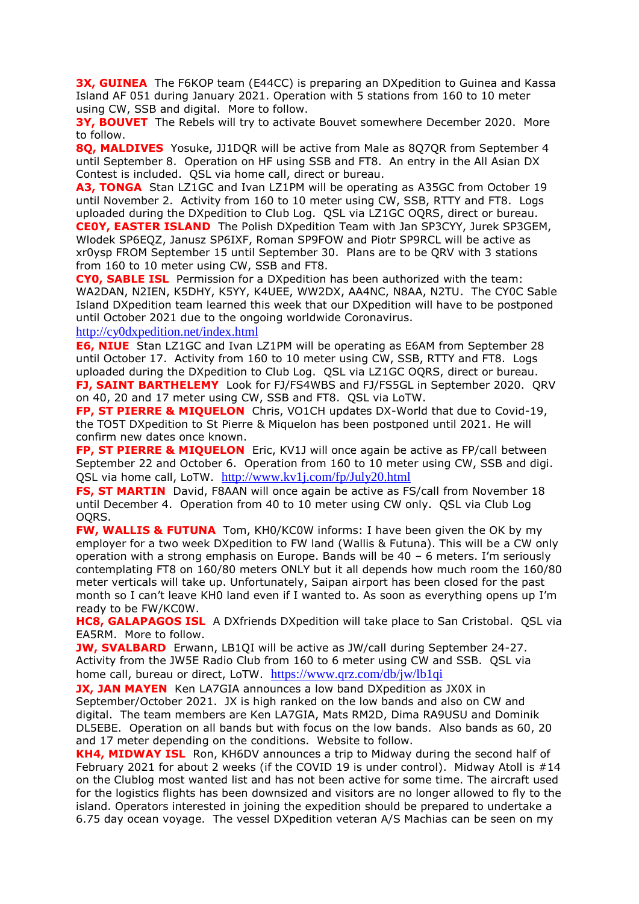**3X, GUINEA** The F6KOP team (E44CC) is preparing an DXpedition to Guinea and Kassa Island AF 051 during January 2021. Operation with 5 stations from 160 to 10 meter using CW, SSB and digital. More to follow.

**3Y, BOUVET** The Rebels will try to activate Bouvet somewhere December 2020. More to follow.

**8Q, MALDIVES** Yosuke, JJ1DQR will be active from Male as 8Q7QR from September 4 until September 8. Operation on HF using SSB and FT8. An entry in the All Asian DX Contest is included. QSL via home call, direct or bureau.

**A3, TONGA** Stan LZ1GC and Ivan LZ1PM will be operating as A35GC from October 19 until November 2. Activity from 160 to 10 meter using CW, SSB, RTTY and FT8. Logs uploaded during the DXpedition to Club Log. QSL via LZ1GC OQRS, direct or bureau. **CE0Y, EASTER ISLAND** The Polish DXpedition Team with Jan SP3CYY, Jurek SP3GEM, Wlodek SP6EQZ, Janusz SP6IXF, Roman SP9FOW and Piotr SP9RCL will be active as xr0ysp FROM September 15 until September 30. Plans are to be QRV with 3 stations from 160 to 10 meter using CW, SSB and FT8.

**CY0, SABLE ISL** Permission for a DXpedition has been authorized with the team: WA2DAN, N2IEN, K5DHY, K5YY, K4UEE, WW2DX, AA4NC, N8AA, N2TU. The CY0C Sable Island DXpedition team learned this week that our DXpedition will have to be postponed until October 2021 due to the ongoing worldwide Coronavirus.

<http://cy0dxpedition.net/index.html>

**E6, NIUE** Stan LZ1GC and Ivan LZ1PM will be operating as E6AM from September 28 until October 17. Activity from 160 to 10 meter using CW, SSB, RTTY and FT8. Logs uploaded during the DXpedition to Club Log. QSL via LZ1GC OQRS, direct or bureau. **FJ, SAINT BARTHELEMY** Look for FJ/FS4WBS and FJ/FS5GL in September 2020. QRV on 40, 20 and 17 meter using CW, SSB and FT8. QSL via LoTW.

**FP, ST PIERRE & MIQUELON** Chris, VO1CH updates DX-World that due to Covid-19, the TO5T DXpedition to St Pierre & Miquelon has been postponed until 2021. He will confirm new dates once known.

**FP, ST PIERRE & MIQUELON** Eric, KV1J will once again be active as FP/call between September 22 and October 6. Operation from 160 to 10 meter using CW, SSB and digi. QSL via home call, LoTW. <http://www.kv1j.com/fp/July20.html>

**FS, ST MARTIN** David, F8AAN will once again be active as FS/call from November 18 until December 4. Operation from 40 to 10 meter using CW only. QSL via Club Log OQRS.

**FW, WALLIS & FUTUNA** Tom, KH0/KC0W informs: I have been given the OK by my employer for a two week DXpedition to FW land (Wallis & Futuna). This will be a CW only operation with a strong emphasis on Europe. Bands will be 40 – 6 meters. I'm seriously contemplating FT8 on 160/80 meters ONLY but it all depends how much room the 160/80 meter verticals will take up. Unfortunately, Saipan airport has been closed for the past month so I can't leave KH0 land even if I wanted to. As soon as everything opens up I'm ready to be FW/KC0W.

**HC8, GALAPAGOS ISL** A DXfriends DXpedition will take place to San Cristobal. QSL via EA5RM. More to follow.

**JW, SVALBARD** Erwann, LB1QI will be active as JW/call during September 24-27. Activity from the JW5E Radio Club from 160 to 6 meter using CW and SSB. QSL via home call, bureau or direct, LoTW. <https://www.qrz.com/db/jw/lb1qi>

**JX, JAN MAYEN** Ken LA7GIA announces a low band DXpedition as JX0X in September/October 2021. JX is high ranked on the low bands and also on CW and digital. The team members are Ken LA7GIA, Mats RM2D, Dima RA9USU and Dominik DL5EBE. Operation on all bands but with focus on the low bands. Also bands as 60, 20 and 17 meter depending on the conditions. Website to follow.

**KH4, MIDWAY ISL** Ron, KH6DV announces a trip to Midway during the second half of February 2021 for about 2 weeks (if the COVID 19 is under control). Midway Atoll is  $#14$ on the Clublog most wanted list and has not been active for some time. The aircraft used for the logistics flights has been downsized and visitors are no longer allowed to fly to the island. Operators interested in joining the expedition should be prepared to undertake a 6.75 day ocean voyage. The vessel DXpedition veteran A/S Machias can be seen on my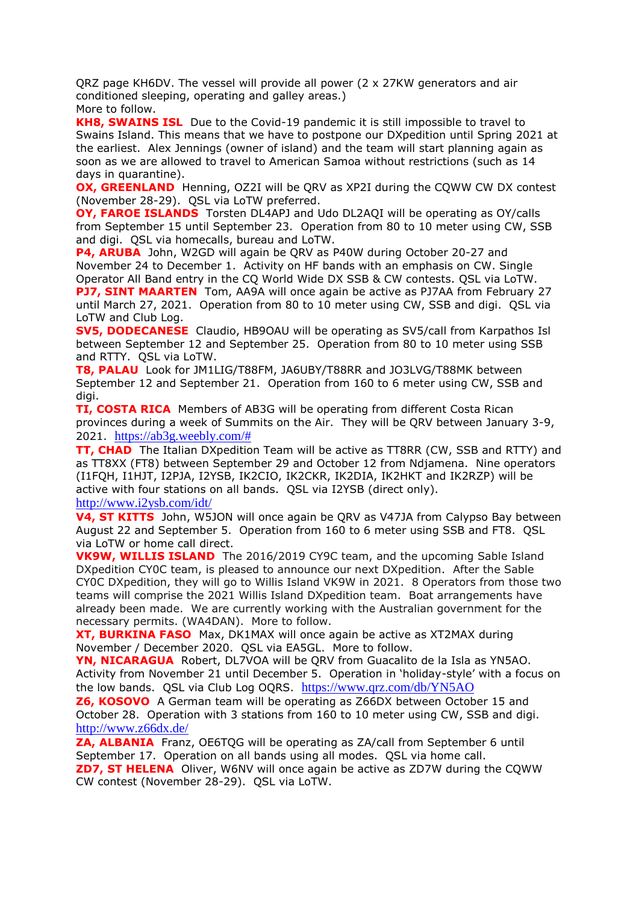QRZ page KH6DV. The vessel will provide all power (2 x 27KW generators and air conditioned sleeping, operating and galley areas.) More to follow.

**KH8, SWAINS ISL** Due to the Covid-19 pandemic it is still impossible to travel to Swains Island. This means that we have to postpone our DXpedition until Spring 2021 at the earliest. Alex Jennings (owner of island) and the team will start planning again as soon as we are allowed to travel to American Samoa without restrictions (such as 14 days in quarantine).

**OX, GREENLAND** Henning, OZ2I will be QRV as XP2I during the CQWW CW DX contest (November 28-29). QSL via LoTW preferred.

**OY, FAROE ISLANDS** Torsten DL4APJ and Udo DL2AQI will be operating as OY/calls from September 15 until September 23. Operation from 80 to 10 meter using CW, SSB and digi. QSL via homecalls, bureau and LoTW.

**P4, ARUBA** John, W2GD will again be QRV as P40W during October 20-27 and November 24 to December 1. Activity on HF bands with an emphasis on CW. Single Operator All Band entry in the CQ World Wide DX SSB & CW contests. QSL via LoTW. **PJ7, SINT MAARTEN** Tom, AA9A will once again be active as PJ7AA from February 27

until March 27, 2021. Operation from 80 to 10 meter using CW, SSB and digi. QSL via LoTW and Club Log.

**SV5, DODECANESE** Claudio, HB9OAU will be operating as SV5/call from Karpathos Isl between September 12 and September 25. Operation from 80 to 10 meter using SSB and RTTY. QSL via LoTW.

**T8, PALAU** Look for JM1LIG/T88FM, JA6UBY/T88RR and JO3LVG/T88MK between September 12 and September 21. Operation from 160 to 6 meter using CW, SSB and digi.

**TI, COSTA RICA** Members of AB3G will be operating from different Costa Rican provinces during a week of Summits on the Air. They will be QRV between January 3-9, 2021. [https://ab3g.weebly.com/#](https://ab3g.weebly.com/)

**TT, CHAD** The Italian DXpedition Team will be active as TT8RR (CW, SSB and RTTY) and as TT8XX (FT8) between September 29 and October 12 from Ndjamena. Nine operators (I1FQH, I1HJT, I2PJA, I2YSB, IK2CIO, IK2CKR, IK2DIA, IK2HKT and IK2RZP) will be active with four stations on all bands. QSL via I2YSB (direct only). <http://www.i2ysb.com/idt/>

**V4, ST KITTS** John, W5JON will once again be QRV as V47JA from Calypso Bay between August 22 and September 5. Operation from 160 to 6 meter using SSB and FT8. QSL via LoTW or home call direct.

**VK9W, WILLIS ISLAND** The 2016/2019 CY9C team, and the upcoming Sable Island DXpedition CY0C team, is pleased to announce our next DXpedition. After the Sable CY0C DXpedition, they will go to Willis Island VK9W in 2021. 8 Operators from those two teams will comprise the 2021 Willis Island DXpedition team. Boat arrangements have already been made. We are currently working with the Australian government for the necessary permits. (WA4DAN). More to follow.

**XT, BURKINA FASO** Max, DK1MAX will once again be active as XT2MAX during November / December 2020. QSL via EA5GL. More to follow.

**YN, NICARAGUA** Robert, DL7VOA will be QRV from Guacalito de la Isla as YN5AO. Activity from November 21 until December 5. Operation in 'holiday-style' with a focus on the low bands. QSL via Club Log OQRS. <https://www.qrz.com/db/YN5AO>

**Z6, KOSOVO** A German team will be operating as Z66DX between October 15 and October 28. Operation with 3 stations from 160 to 10 meter using CW, SSB and digi. <http://www.z66dx.de/>

**ZA, ALBANIA** Franz, OE6TQG will be operating as ZA/call from September 6 until September 17. Operation on all bands using all modes. QSL via home call. **ZD7, ST HELENA** Oliver, W6NV will once again be active as ZD7W during the CQWW CW contest (November 28-29). QSL via LoTW.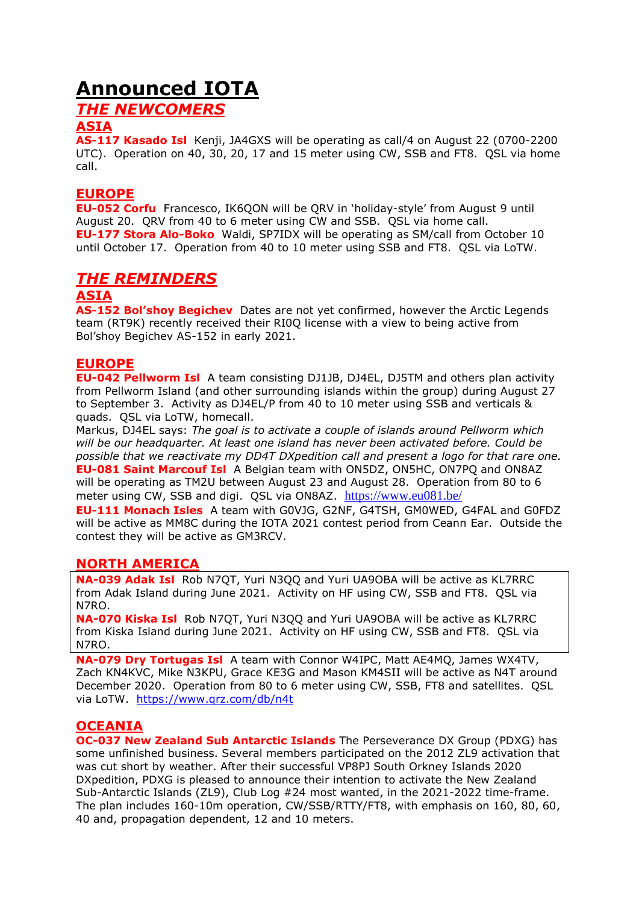## **Announced IOTA**

## *THE NEWCOMERS*

#### **ASIA**

**AS-117 Kasado Isl** Kenji, JA4GXS will be operating as call/4 on August 22 (0700-2200 UTC). Operation on 40, 30, 20, 17 and 15 meter using CW, SSB and FT8. QSL via home call.

#### **EUROPE**

**EU-052 Corfu** Francesco, IK6QON will be QRV in 'holiday-style' from August 9 until August 20. QRV from 40 to 6 meter using CW and SSB. QSL via home call. **EU-177 Stora Alo-Boko** Waldi, SP7IDX will be operating as SM/call from October 10 until October 17. Operation from 40 to 10 meter using SSB and FT8. QSL via LoTW.

## *THE REMINDERS*

#### **ASIA**

**AS-152 Bol'shoy Begichev** Dates are not yet confirmed, however the Arctic Legends team (RT9K) recently received their RI0Q license with a view to being active from Bol'shoy Begichev AS-152 in early 2021.

#### **EUROPE**

**EU-042 Pellworm Isl** A team consisting DJ1JB, DJ4EL, DJ5TM and others plan activity from Pellworm Island (and other surrounding islands within the group) during August 27 to September 3. Activity as DJ4EL/P from 40 to 10 meter using SSB and verticals & quads. QSL via LoTW, homecall.

Markus, DJ4EL says: *The goal is to activate a couple of islands around Pellworm which will be our headquarter. At least one island has never been activated before. Could be possible that we reactivate my DD4T DXpedition call and present a logo for that rare one.* **EU-081 Saint Marcouf Isl** A Belgian team with ON5DZ, ON5HC, ON7PQ and ON8AZ will be operating as TM2U between August 23 and August 28. Operation from 80 to 6 meter using CW, SSB and digi. QSL via ON8AZ. <https://www.eu081.be/>

**EU-111 Monach Isles** A team with G0VJG, G2NF, G4TSH, GM0WED, G4FAL and G0FDZ will be active as MM8C during the IOTA 2021 contest period from Ceann Ear. Outside the contest they will be active as GM3RCV.

#### **NORTH AMERICA**

**NA-039 Adak Isl** Rob N7QT, Yuri N3QQ and Yuri UA9OBA will be active as KL7RRC from Adak Island during June 2021. Activity on HF using CW, SSB and FT8. QSL via N7RO.

**NA-070 Kiska Isl** Rob N7QT, Yuri N3QQ and Yuri UA9OBA will be active as KL7RRC from Kiska Island during June 2021. Activity on HF using CW, SSB and FT8. QSL via N7RO.

**NA-079 Dry Tortugas Isl** A team with Connor W4IPC, Matt AE4MQ, James WX4TV, Zach KN4KVC, Mike N3KPU, Grace KE3G and Mason KM4SII will be active as N4T around December 2020. Operation from 80 to 6 meter using CW, SSB, FT8 and satellites. QSL via LoTW. <https://www.qrz.com/db/n4t>

#### **OCEANIA**

**OC-037 New Zealand Sub Antarctic Islands** The Perseverance DX Group (PDXG) has some unfinished business. Several members participated on the 2012 ZL9 activation that was cut short by weather. After their successful VP8PJ South Orkney Islands 2020 DXpedition, PDXG is pleased to announce their intention to activate the New Zealand Sub-Antarctic Islands (ZL9), Club Log #24 most wanted, in the 2021-2022 time-frame. The plan includes 160-10m operation, CW/SSB/RTTY/FT8, with emphasis on 160, 80, 60, 40 and, propagation dependent, 12 and 10 meters.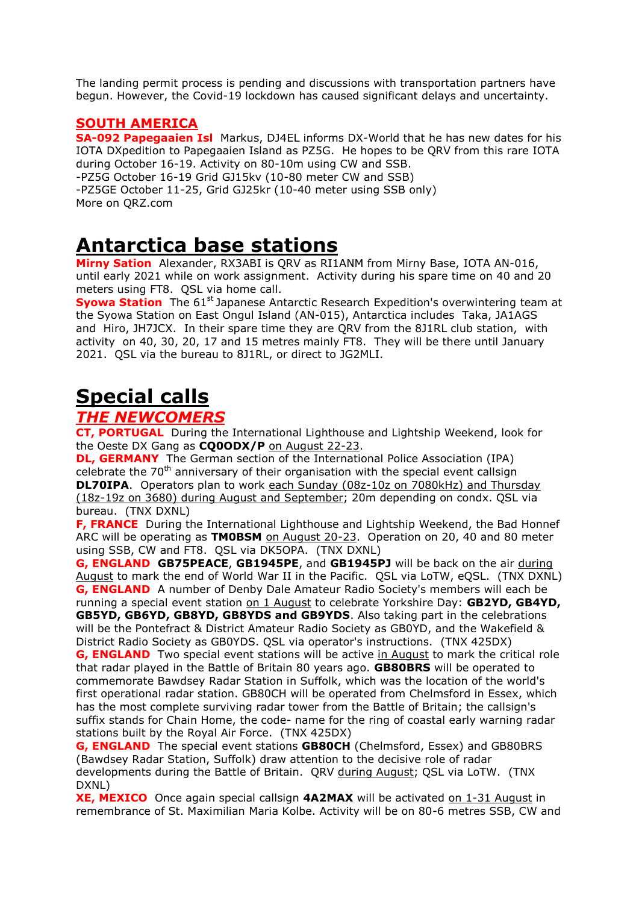The landing permit process is pending and discussions with transportation partners have begun. However, the Covid-19 lockdown has caused significant delays and uncertainty.

#### **SOUTH AMERICA**

**SA-092 Papegaaien Isl** Markus, DJ4EL informs DX-World that he has new dates for his IOTA DXpedition to Papegaaien Island as PZ5G. He hopes to be QRV from this rare IOTA during October 16-19. Activity on 80-10m using CW and SSB.

-PZ5G October 16-19 Grid GJ15kv (10-80 meter CW and SSB)

-PZ5GE October 11-25, Grid GJ25kr (10-40 meter using SSB only) More on QRZ.com

## **Antarctica base stations**

**Mirny Sation** Alexander, RX3ABI is QRV as RI1ANM from Mirny Base, IOTA AN-016, until early 2021 while on work assignment. Activity during his spare time on 40 and 20 meters using FT8. QSL via home call.

**Syowa Station** The 61<sup>st</sup> Japanese Antarctic Research Expedition's overwintering team at the Syowa Station on East Ongul Island (AN-015), Antarctica includes Taka, JA1AGS and Hiro, JH7JCX. In their spare time they are QRV from the 8J1RL club station, with activity on 40, 30, 20, 17 and 15 metres mainly FT8. They will be there until January 2021. QSL via the bureau to 8J1RL, or direct to JG2MLI.

# **Special calls**

## *THE NEWCOMERS*

**CT, PORTUGAL** During the International Lighthouse and Lightship Weekend, look for the Oeste DX Gang as **CQ0ODX/P** on August 22-23.

**DL, GERMANY** The German section of the International Police Association (IPA) celebrate the  $70<sup>th</sup>$  anniversary of their organisation with the special event callsign **DL70IPA**. Operators plan to work each Sunday (08z-10z on 7080kHz) and Thursday (18z-19z on 3680) during August and September; 20m depending on condx. QSL via bureau. (TNX DXNL)

**F, FRANCE** During the International Lighthouse and Lightship Weekend, the Bad Honnef ARC will be operating as **TM0BSM** on August 20-23. Operation on 20, 40 and 80 meter using SSB, CW and FT8. QSL via DK5OPA. (TNX DXNL)

**G, ENGLAND GB75PEACE**, **GB1945PE**, and **GB1945PJ** will be back on the air during August to mark the end of World War II in the Pacific. QSL via LoTW, eQSL. (TNX DXNL) **G, ENGLAND** A number of Denby Dale Amateur Radio Society's members will each be running a special event station on 1 August to celebrate Yorkshire Day: GB2YD, GB4YD, **GB5YD, GB6YD, GB8YD, GB8YDS and GB9YDS**. Also taking part in the celebrations will be the Pontefract & District Amateur Radio Society as GB0YD, and the Wakefield & District Radio Society as GB0YDS. QSL via operator's instructions. (TNX 425DX) **G, ENGLAND** Two special event stations will be active in August to mark the critical role that radar played in the Battle of Britain 80 years ago. **GB80BRS** will be operated to commemorate Bawdsey Radar Station in Suffolk, which was the location of the world's first operational radar station. GB80CH will be operated from Chelmsford in Essex, which has the most complete surviving radar tower from the Battle of Britain; the callsign's suffix stands for Chain Home, the code- name for the ring of coastal early warning radar

stations built by the Royal Air Force. (TNX 425DX) **G, ENGLAND** The special event stations **GB80CH** (Chelmsford, Essex) and GB80BRS (Bawdsey Radar Station, Suffolk) draw attention to the decisive role of radar developments during the Battle of Britain. QRV during August; QSL via LoTW. (TNX DXNL)

**XE, MEXICO** Once again special callsign **4A2MAX** will be activated on 1-31 August in remembrance of St. Maximilian Maria Kolbe. Activity will be on 80-6 metres SSB, CW and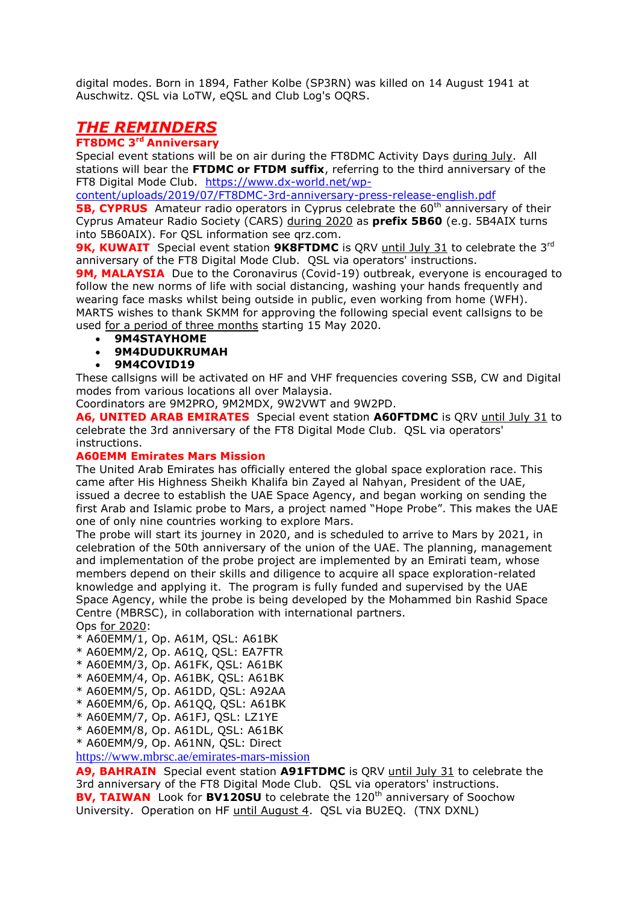digital modes. Born in 1894, Father Kolbe (SP3RN) was killed on 14 August 1941 at Auschwitz. QSL via LoTW, eQSL and Club Log's OQRS.

## *THE REMINDERS*

#### **FT8DMC 3rd Anniversary**

Special event stations will be on air during the FT8DMC Activity Days during July. All stations will bear the **FTDMC or FTDM suffix**, referring to the third anniversary of the FT8 Digital Mode Club. [https://www.dx-world.net/wp-](https://www.dx-world.net/wp-content/uploads/2019/07/FT8DMC-3rd-anniversary-press-release-english.pdf)

[content/uploads/2019/07/FT8DMC-3rd-anniversary-press-release-english.pdf](https://www.dx-world.net/wp-content/uploads/2019/07/FT8DMC-3rd-anniversary-press-release-english.pdf)

**5B, CYPRUS** Amateur radio operators in Cyprus celebrate the 60<sup>th</sup> anniversary of their Cyprus Amateur Radio Society (CARS) during 2020 as **prefix 5B60** (e.g. 5B4AIX turns into 5B60AIX). For QSL information see qrz.com.

**9K, KUWAIT** Special event station **9K8FTDMC** is QRV until July 31 to celebrate the 3<sup>rd</sup> anniversary of the FT8 Digital Mode Club. QSL via operators' instructions.

**9M, MALAYSIA** Due to the Coronavirus (Covid-19) outbreak, everyone is encouraged to follow the new norms of life with social distancing, washing your hands frequently and wearing face masks whilst being outside in public, even working from home (WFH). MARTS wishes to thank SKMM for approving the following special event callsigns to be used for a period of three months starting 15 May 2020.

**9M4STAYHOME**

#### **9M4DUDUKRUMAH**

**9M4COVID19**

These callsigns will be activated on HF and VHF frequencies covering SSB, CW and Digital modes from various locations all over Malaysia.

Coordinators are 9M2PRO, 9M2MDX, 9W2VWT and 9W2PD.

**A6, UNITED ARAB EMIRATES** Special event station **A60FTDMC** is QRV until July 31 to celebrate the 3rd anniversary of the FT8 Digital Mode Club. QSL via operators' instructions.

#### **A60EMM Emirates Mars Mission**

The United Arab Emirates has officially entered the global space exploration race. This came after His Highness Sheikh Khalifa bin Zayed al Nahyan, President of the UAE, issued a decree to establish the UAE Space Agency, and began working on sending the first Arab and Islamic probe to Mars, a project named "Hope Probe". This makes the UAE one of only nine countries working to explore Mars.

The probe will start its journey in 2020, and is scheduled to arrive to Mars by 2021, in celebration of the 50th anniversary of the union of the UAE. The planning, management and implementation of the probe project are implemented by an Emirati team, whose members depend on their skills and diligence to acquire all space exploration-related knowledge and applying it. The program is fully funded and supervised by the UAE Space Agency, while the probe is being developed by the Mohammed bin Rashid Space Centre (MBRSC), in collaboration with international partners.

Ops for 2020:

- \* A60EMM/1, Op. A61M, QSL: A61BK
- \* A60EMM/2, Op. A61Q, QSL: EA7FTR
- \* A60EMM/3, Op. A61FK, QSL: A61BK
- \* A60EMM/4, Op. A61BK, QSL: A61BK
- \* A60EMM/5, Op. A61DD, QSL: A92AA
- \* A60EMM/6, Op. A61QQ, QSL: A61BK
- \* A60EMM/7, Op. A61FJ, QSL: LZ1YE
- \* A60EMM/8, Op. A61DL, QSL: A61BK
- \* A60EMM/9, Op. A61NN, QSL: Direct

<https://www.mbrsc.ae/emirates-mars-mission>

**A9, BAHRAIN** Special event station **A91FTDMC** is QRV until July 31 to celebrate the 3rd anniversary of the FT8 Digital Mode Club. QSL via operators' instructions. **BV, TAIWAN** Look for **BV120SU** to celebrate the 120<sup>th</sup> anniversary of Soochow University. Operation on HF until August 4. QSL via BU2EQ. (TNX DXNL)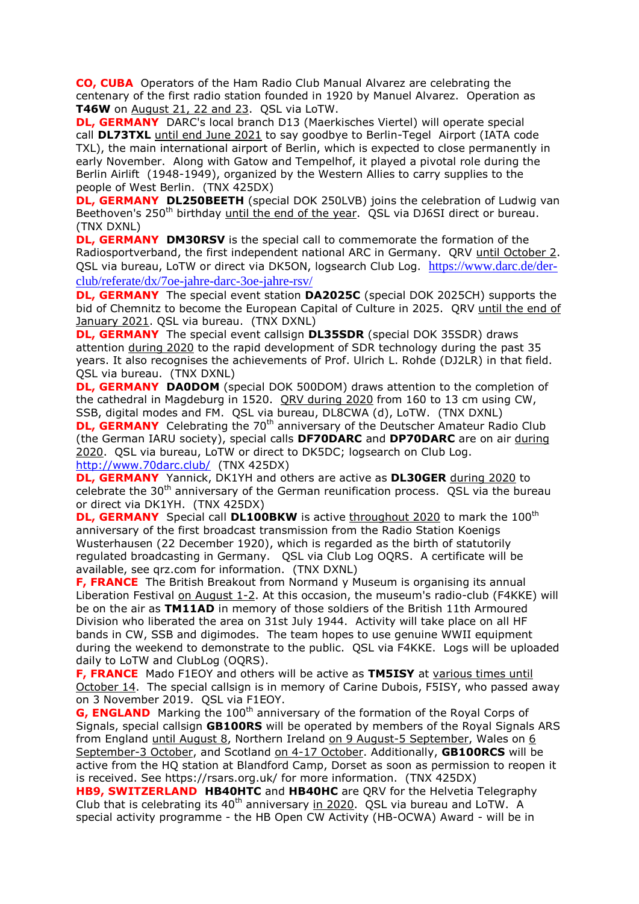**CO, CUBA** Operators of the Ham Radio Club Manual Alvarez are celebrating the centenary of the first radio station founded in 1920 by Manuel Alvarez. Operation as **T46W** on August 21, 22 and 23. QSL via LoTW.

**DL, GERMANY** DARC's local branch D13 (Maerkisches Viertel) will operate special call **DL73TXL** until end June 2021 to say goodbye to Berlin-Tegel Airport (IATA code TXL), the main international airport of Berlin, which is expected to close permanently in early November. Along with Gatow and Tempelhof, it played a pivotal role during the Berlin Airlift (1948-1949), organized by the Western Allies to carry supplies to the people of West Berlin. (TNX 425DX)

**DL, GERMANY DL250BEETH** (special DOK 250LVB) joins the celebration of Ludwig van Beethoven's 250<sup>th</sup> birthday until the end of the year. OSL via DJ6SI direct or bureau. (TNX DXNL)

**DL, GERMANY DM30RSV** is the special call to commemorate the formation of the Radiosportverband, the first independent national ARC in Germany. QRV until October 2. QSL via bureau, LoTW or direct via DK5ON, logsearch Club Log. [https://www.darc.de/der](https://www.darc.de/der-club/referate/dx/7oe-jahre-darc-3oe-jahre-rsv/)[club/referate/dx/7oe-jahre-darc-3oe-jahre-rsv/](https://www.darc.de/der-club/referate/dx/7oe-jahre-darc-3oe-jahre-rsv/)

**DL, GERMANY** The special event station **DA2025C** (special DOK 2025CH) supports the bid of Chemnitz to become the European Capital of Culture in 2025. QRV until the end of January 2021. QSL via bureau. (TNX DXNL)

**DL, GERMANY** The special event callsign **DL35SDR** (special DOK 35SDR) draws attention during 2020 to the rapid development of SDR technology during the past 35 years. It also recognises the achievements of Prof. Ulrich L. Rohde (DJ2LR) in that field. QSL via bureau. (TNX DXNL)

**DL, GERMANY DA0DOM** (special DOK 500DOM) draws attention to the completion of the cathedral in Magdeburg in 1520. QRV during 2020 from 160 to 13 cm using CW, SSB, digital modes and FM. QSL via bureau, DL8CWA (d), LoTW. (TNX DXNL)

**DL, GERMANY** Celebrating the 70<sup>th</sup> anniversary of the Deutscher Amateur Radio Club (the German IARU society), special calls **DF70DARC** and **DP70DARC** are on air during 2020. QSL via bureau, LoTW or direct to DK5DC; logsearch on Club Log. <http://www.70darc.club/>(TNX 425DX)

**DL, GERMANY** Yannick, DK1YH and others are active as **DL30GER** during 2020 to celebrate the 30<sup>th</sup> anniversary of the German reunification process. QSL via the bureau or direct via DK1YH. (TNX 425DX)

**DL, GERMANY** Special call **DL100BKW** is active throughout 2020 to mark the 100<sup>th</sup> anniversary of the first broadcast transmission from the Radio Station Koenigs Wusterhausen (22 December 1920), which is regarded as the birth of statutorily regulated broadcasting in Germany. QSL via Club Log OQRS. A certificate will be available, see qrz.com for information. (TNX DXNL)

**F, FRANCE** The British Breakout from Normand y Museum is organising its annual Liberation Festival on August 1-2. At this occasion, the museum's radio-club (F4KKE) will be on the air as **TM11AD** in memory of those soldiers of the British 11th Armoured Division who liberated the area on 31st July 1944. Activity will take place on all HF bands in CW, SSB and digimodes. The team hopes to use genuine WWII equipment during the weekend to demonstrate to the public. QSL via F4KKE. Logs will be uploaded daily to LoTW and ClubLog (OQRS).

**F, FRANCE** Mado F1EOY and others will be active as **TM5ISY** at various times until October 14. The special callsign is in memory of Carine Dubois, F5ISY, who passed away on 3 November 2019. QSL via F1EOY.

**G, ENGLAND** Marking the 100<sup>th</sup> anniversary of the formation of the Royal Corps of Signals, special callsign **GB100RS** will be operated by members of the Royal Signals ARS from England until August 8, Northern Ireland on 9 August-5 September, Wales on 6 September-3 October, and Scotland on 4-17 October. Additionally, **GB100RCS** will be active from the HQ station at Blandford Camp, Dorset as soon as permission to reopen it is received. See https://rsars.org.uk/ for more information. (TNX 425DX)

**HB9, SWITZERLAND HB40HTC** and **HB40HC** are QRV for the Helvetia Telegraphy Club that is celebrating its  $40<sup>th</sup>$  anniversary in 2020. OSL via bureau and LoTW. A special activity programme - the HB Open CW Activity (HB-OCWA) Award - will be in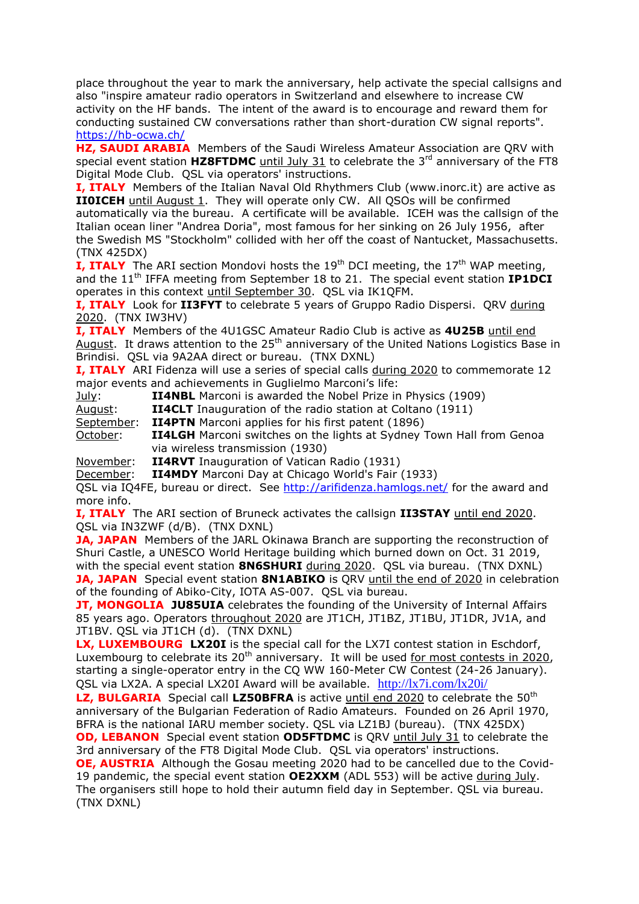place throughout the year to mark the anniversary, help activate the special callsigns and also "inspire amateur radio operators in Switzerland and elsewhere to increase CW activity on the HF bands. The intent of the award is to encourage and reward them for conducting sustained CW conversations rather than short-duration CW signal reports". <https://hb-ocwa.ch/>

**HZ, SAUDI ARABIA** Members of the Saudi Wireless Amateur Association are QRV with special event station **HZ8FTDMC** until July 31 to celebrate the 3<sup>rd</sup> anniversary of the FT8 Digital Mode Club. QSL via operators' instructions.

**I, ITALY** Members of the Italian Naval Old Rhythmers Club (www.inorc.it) are active as **II0ICEH** until August 1. They will operate only CW. All QSOs will be confirmed automatically via the bureau. A certificate will be available. ICEH was the callsign of the Italian ocean liner "Andrea Doria", most famous for her sinking on 26 July 1956, after the Swedish MS "Stockholm" collided with her off the coast of Nantucket, Massachusetts. (TNX 425DX)

**I, ITALY** The ARI section Mondovi hosts the 19<sup>th</sup> DCI meeting, the 17<sup>th</sup> WAP meeting, and the 11th IFFA meeting from September 18 to 21. The special event station **IP1DCI** operates in this context until September 30. QSL via IK1QFM.

**I, ITALY** Look for **II3FYT** to celebrate 5 years of Gruppo Radio Dispersi. QRV during 2020. (TNX IW3HV)

**I, ITALY** Members of the 4U1GSC Amateur Radio Club is active as **4U25B** until end August. It draws attention to the 25<sup>th</sup> anniversary of the United Nations Logistics Base in Brindisi. QSL via 9A2AA direct or bureau. (TNX DXNL)

**I, ITALY** ARI Fidenza will use a series of special calls during 2020 to commemorate 12 major events and achievements in Guglielmo Marconi's life:

July: **II4NBL** Marconi is awarded the Nobel Prize in Physics (1909)

August: **II4CLT** Inauguration of the radio station at Coltano (1911)

September: **II4PTN** Marconi applies for his first patent (1896)

October: **II4LGH** Marconi switches on the lights at Sydney Town Hall from Genoa via wireless transmission (1930)

November: **II4RVT** Inauguration of Vatican Radio (1931)

December: **II4MDY** Marconi Day at Chicago World's Fair (1933)

QSL via IQ4FE, bureau or direct. See<http://arifidenza.hamlogs.net/> for the award and more info.

**I, ITALY** The ARI section of Bruneck activates the callsign **II3STAY** until end 2020. QSL via IN3ZWF (d/B). (TNX DXNL)

**JA, JAPAN** Members of the JARL Okinawa Branch are supporting the reconstruction of Shuri Castle, a UNESCO World Heritage building which burned down on Oct. 31 2019, with the special event station **8N6SHURI** during 2020. QSL via bureau. (TNX DXNL) **JA, JAPAN** Special event station **8N1ABIKO** is QRV until the end of 2020 in celebration of the founding of Abiko-City, IOTA AS-007. QSL via bureau.

**JT, MONGOLIA JU85UIA** celebrates the founding of the University of Internal Affairs 85 years ago. Operators throughout 2020 are JT1CH, JT1BZ, JT1BU, JT1DR, JV1A, and JT1BV. QSL via JT1CH (d). (TNX DXNL)

**LX, LUXEMBOURG LX20I** is the special call for the LX7I contest station in Eschdorf, Luxembourg to celebrate its  $20<sup>th</sup>$  anniversary. It will be used for most contests in 2020, starting a single-operator entry in the CQ WW 160-Meter CW Contest (24-26 January). QSL via LX2A. A special LX20I Award will be available. <http://lx7i.com/lx20i/>

**LZ, BULGARIA** Special call LZ50BFRA is active until end 2020 to celebrate the 50<sup>th</sup> anniversary of the Bulgarian Federation of Radio Amateurs. Founded on 26 April 1970, BFRA is the national IARU member society. QSL via LZ1BJ (bureau). (TNX 425DX)

**OD, LEBANON** Special event station **OD5FTDMC** is QRV until July 31 to celebrate the 3rd anniversary of the FT8 Digital Mode Club. QSL via operators' instructions. **OE, AUSTRIA** Although the Gosau meeting 2020 had to be cancelled due to the Covid-

19 pandemic, the special event station **OE2XXM** (ADL 553) will be active during July. The organisers still hope to hold their autumn field day in September. QSL via bureau. (TNX DXNL)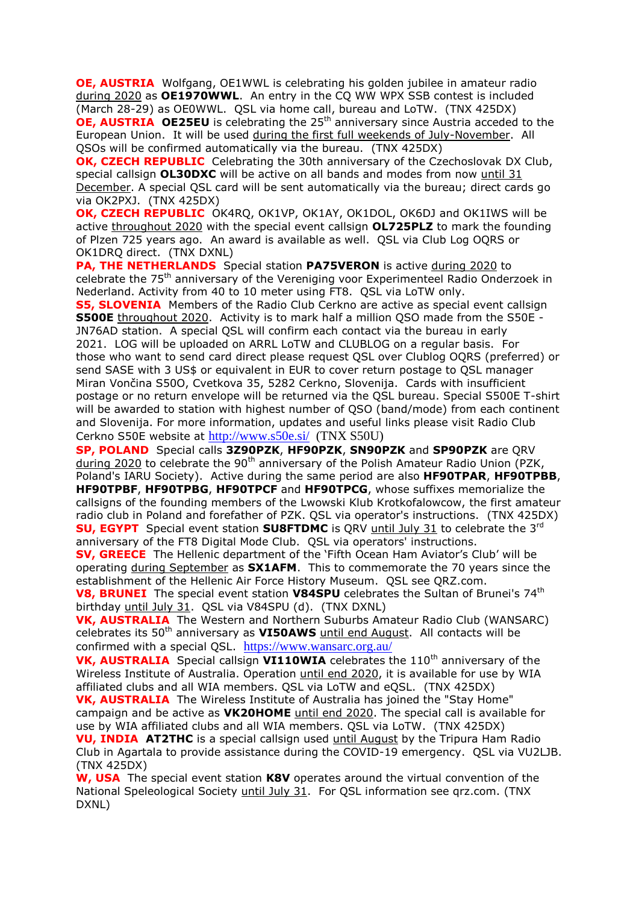**OE, AUSTRIA** Wolfgang, OE1WWL is celebrating his golden jubilee in amateur radio during 2020 as **OE1970WWL**. An entry in the CQ WW WPX SSB contest is included (March 28-29) as OE0WWL. QSL via home call, bureau and LoTW. (TNX 425DX) **OE, AUSTRIA OE25EU** is celebrating the 25<sup>th</sup> anniversary since Austria acceded to the European Union. It will be used during the first full weekends of July-November. All QSOs will be confirmed automatically via the bureau. (TNX 425DX)

**OK, CZECH REPUBLIC** Celebrating the 30th anniversary of the Czechoslovak DX Club, special callsign **OL30DXC** will be active on all bands and modes from now until 31 December. A special QSL card will be sent automatically via the bureau; direct cards go via OK2PXJ. (TNX 425DX)

**OK, CZECH REPUBLIC** OK4RQ, OK1VP, OK1AY, OK1DOL, OK6DJ and OK1IWS will be active throughout 2020 with the special event callsign **OL725PLZ** to mark the founding of Plzen 725 years ago. An award is available as well. QSL via Club Log OQRS or OK1DRQ direct. (TNX DXNL)

**PA, THE NETHERLANDS** Special station **PA75VERON** is active during 2020 to celebrate the 75th anniversary of the Vereniging voor Experimenteel Radio Onderzoek in Nederland. Activity from 40 to 10 meter using FT8. QSL via LoTW only.

**S5, SLOVENIA** Members of the Radio Club Cerkno are active as special event callsign **S500E** throughout 2020. Activity is to mark half a million QSO made from the S50E - JN76AD station. A special QSL will confirm each contact via the bureau in early 2021. LOG will be uploaded on ARRL LoTW and CLUBLOG on a regular basis. For those who want to send card direct please request QSL over Clublog OQRS (preferred) or send SASE with 3 US\$ or equivalent in EUR to cover return postage to QSL manager Miran Vončina S50O, Cvetkova 35, 5282 Cerkno, Slovenija. Cards with insufficient postage or no return envelope will be returned via the QSL bureau. Special S500E T-shirt will be awarded to station with highest number of QSO (band/mode) from each continent and Slovenija. For more information, updates and useful links please visit Radio Club Cerkno S50E website at <http://www.s50e.si/>(TNX S50U)

**SP, POLAND** Special calls **3Z90PZK**, **HF90PZK**, **SN90PZK** and **SP90PZK** are QRV during 2020 to celebrate the 90<sup>th</sup> anniversary of the Polish Amateur Radio Union (PZK, Poland's IARU Society). Active during the same period are also **HF90TPAR**, **HF90TPBB**, **HF90TPBF**, **HF90TPBG**, **HF90TPCF** and **HF90TPCG**, whose suffixes memorialize the callsigns of the founding members of the Lwowski Klub Krotkofalowcow, the first amateur radio club in Poland and forefather of PZK. QSL via operator's instructions. (TNX 425DX) **SU, EGYPT** Special event station **SU8FTDMC** is QRV until July 31 to celebrate the 3<sup>rd</sup> anniversary of the FT8 Digital Mode Club. QSL via operators' instructions.

**SV, GREECE** The Hellenic department of the 'Fifth Ocean Ham Aviator's Club' will be operating during September as **SX1AFM**. This to commemorate the 70 years since the establishment of the Hellenic Air Force History Museum. QSL see QRZ.com.

**V8, BRUNEI** The special event station V84SPU celebrates the Sultan of Brunei's 74<sup>th</sup> birthday until July 31. QSL via V84SPU (d). (TNX DXNL)

**VK, AUSTRALIA** The Western and Northern Suburbs Amateur Radio Club (WANSARC) celebrates its 50th anniversary as **VI50AWS** until end August. All contacts will be confirmed with a special QSL. <https://www.wansarc.org.au/>

**VK, AUSTRALIA** Special callsign **VI110WIA** celebrates the 110<sup>th</sup> anniversary of the Wireless Institute of Australia. Operation until end 2020, it is available for use by WIA affiliated clubs and all WIA members. QSL via LoTW and eQSL. (TNX 425DX)

**VK, AUSTRALIA** The Wireless Institute of Australia has joined the "Stay Home" campaign and be active as **VK20HOME** until end 2020. The special call is available for use by WIA affiliated clubs and all WIA members. QSL via LoTW. (TNX 425DX)

**VU, INDIA AT2THC** is a special callsign used until August by the Tripura Ham Radio Club in Agartala to provide assistance during the COVID-19 emergency. QSL via VU2LJB. (TNX 425DX)

**W, USA** The special event station **K8V** operates around the virtual convention of the National Speleological Society until July 31. For QSL information see qrz.com. (TNX DXNL)